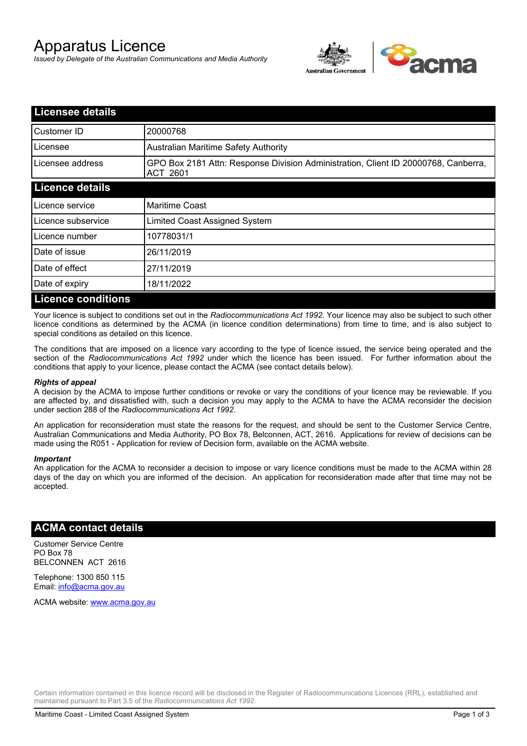# Apparatus Licence

*Issued by Delegate of the Australian Communications and Media Authority*



| <b>Licensee details</b>   |                                                                                                       |
|---------------------------|-------------------------------------------------------------------------------------------------------|
| Customer ID               | 20000768                                                                                              |
| Licensee                  | <b>Australian Maritime Safety Authority</b>                                                           |
| Licensee address          | GPO Box 2181 Attn: Response Division Administration, Client ID 20000768, Canberra,<br><b>ACT 2601</b> |
| <b>Licence details</b>    |                                                                                                       |
| Licence service           | <b>Maritime Coast</b>                                                                                 |
| Licence subservice        | Limited Coast Assigned System                                                                         |
| Licence number            | 10778031/1                                                                                            |
| Date of issue             | 26/11/2019                                                                                            |
| Date of effect            | 27/11/2019                                                                                            |
| Date of expiry            | 18/11/2022                                                                                            |
| <b>Licence conditions</b> |                                                                                                       |

Your licence is subject to conditions set out in the *Radiocommunications Act 1992*. Your licence may also be subject to such other licence conditions as determined by the ACMA (in licence condition determinations) from time to time, and is also subject to special conditions as detailed on this licence.

The conditions that are imposed on a licence vary according to the type of licence issued, the service being operated and the section of the *Radiocommunications Act 1992* under which the licence has been issued. For further information about the conditions that apply to your licence, please contact the ACMA (see contact details below).

### *Rights of appeal*

A decision by the ACMA to impose further conditions or revoke or vary the conditions of your licence may be reviewable. If you are affected by, and dissatisfied with, such a decision you may apply to the ACMA to have the ACMA reconsider the decision under section 288 of the *Radiocommunications Act 1992*.

An application for reconsideration must state the reasons for the request, and should be sent to the Customer Service Centre, Australian Communications and Media Authority, PO Box 78, Belconnen, ACT, 2616. Applications for review of decisions can be made using the R051 - Application for review of Decision form, available on the ACMA website.

#### *Important*

An application for the ACMA to reconsider a decision to impose or vary licence conditions must be made to the ACMA within 28 days of the day on which you are informed of the decision. An application for reconsideration made after that time may not be accepted.

## **ACMA contact details**

Customer Service Centre PO Box 78 BELCONNEN ACT 2616

Telephone: 1300 850 115 Email: info@acma.gov.au

ACMA website: www.acma.gov.au

Certain information contained in this licence record will be disclosed in the Register of Radiocommunications Licences (RRL), established and maintained pursuant to Part 3.5 of the *Radiocommunications Act 1992.*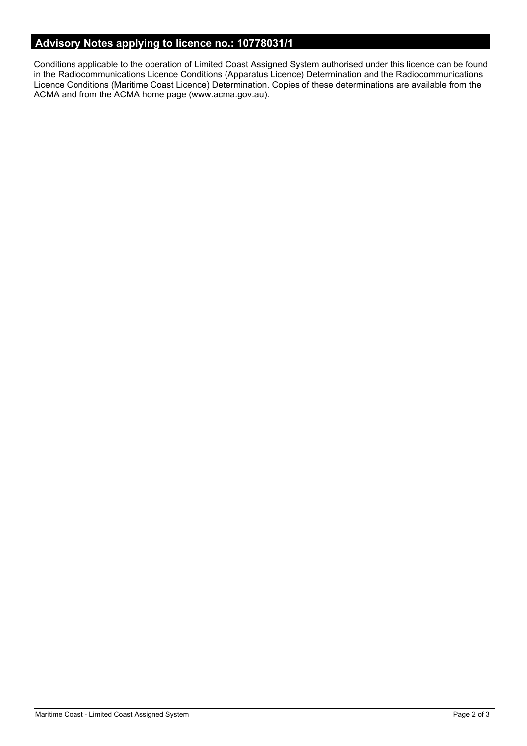# **Advisory Notes applying to licence no.: 10778031/1**

Conditions applicable to the operation of Limited Coast Assigned System authorised under this licence can be found in the Radiocommunications Licence Conditions (Apparatus Licence) Determination and the Radiocommunications Licence Conditions (Maritime Coast Licence) Determination. Copies of these determinations are available from the ACMA and from the ACMA home page (www.acma.gov.au).